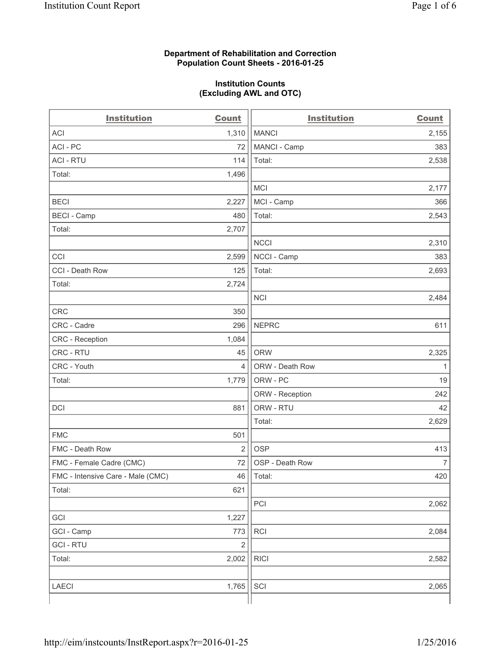#### **Department of Rehabilitation and Correction Population Count Sheets - 2016-01-25**

#### **Institution Counts (Excluding AWL and OTC)**

| <b>Institution</b>                | <b>Count</b>   | <b>Institution</b> | <b>Count</b>   |
|-----------------------------------|----------------|--------------------|----------------|
| <b>ACI</b>                        | 1,310          | <b>MANCI</b>       | 2,155          |
| ACI - PC                          | 72             | MANCI - Camp       | 383            |
| <b>ACI - RTU</b>                  | 114            | Total:             | 2,538          |
| Total:                            | 1,496          |                    |                |
|                                   |                | <b>MCI</b>         | 2,177          |
| <b>BECI</b>                       | 2,227          | MCI - Camp         | 366            |
| <b>BECI</b> - Camp                | 480            | Total:             | 2,543          |
| Total:                            | 2,707          |                    |                |
|                                   |                | <b>NCCI</b>        | 2,310          |
| CCI                               | 2,599          | NCCI - Camp        | 383            |
| CCI - Death Row                   | 125            | Total:             | 2,693          |
| Total:                            | 2,724          |                    |                |
|                                   |                | <b>NCI</b>         | 2,484          |
| <b>CRC</b>                        | 350            |                    |                |
| CRC - Cadre                       | 296            | <b>NEPRC</b>       | 611            |
| CRC - Reception                   | 1,084          |                    |                |
| CRC - RTU                         | 45             | <b>ORW</b>         | 2,325          |
| CRC - Youth                       | $\overline{4}$ | ORW - Death Row    | $\mathbf{1}$   |
| Total:                            | 1,779          | ORW - PC           | 19             |
|                                   |                | ORW - Reception    | 242            |
| DCI                               | 881            | ORW - RTU          | 42             |
|                                   |                | Total:             | 2,629          |
| <b>FMC</b>                        | 501            |                    |                |
| FMC - Death Row                   | $\overline{2}$ | <b>OSP</b>         | 413            |
| FMC - Female Cadre (CMC)          | 72             | OSP - Death Row    | $\overline{7}$ |
| FMC - Intensive Care - Male (CMC) |                | $46$   Total:      | 420            |
| Total:                            | 621            |                    |                |
|                                   |                | PCI                | 2,062          |
| GCI                               | 1,227          |                    |                |
| GCI - Camp                        | 773            | <b>RCI</b>         | 2,084          |
| <b>GCI - RTU</b>                  | $\mathbf 2$    |                    |                |
| Total:                            | 2,002          | <b>RICI</b>        | 2,582          |
|                                   |                |                    |                |
| LAECI                             | 1,765          | SCI                | 2,065          |
|                                   |                |                    |                |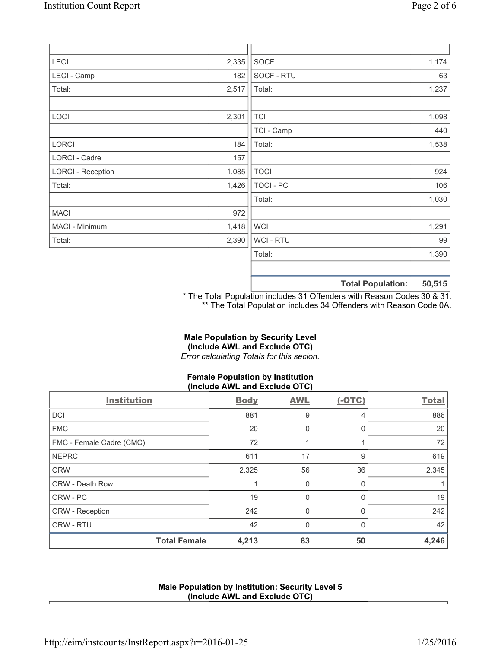|                          |       |             | $-2 - 1$ |
|--------------------------|-------|-------------|----------|
|                          |       |             |          |
|                          |       | Total:      | 1,390    |
| Total:                   | 2,390 | WCI - RTU   | 99       |
| MACI - Minimum           | 1,418 | <b>WCI</b>  | 1,291    |
| MACI                     | 972   |             |          |
|                          |       | Total:      | 1,030    |
| Total:                   | 1,426 | TOCI - PC   | 106      |
| <b>LORCI - Reception</b> | 1,085 | <b>TOCI</b> | 924      |
| LORCI - Cadre            | 157   |             |          |
| LORCI                    | 184   | Total:      | 1,538    |
|                          |       | TCI - Camp  | 440      |
| LOCI                     | 2,301 | <b>TCI</b>  | 1,098    |
|                          |       |             |          |
| Total:                   | 2,517 | Total:      | 1,237    |
| LECI - Camp              | 182   | SOCF - RTU  | 63       |
| LECI                     | 2,335 | <b>SOCF</b> | 1,174    |
|                          |       |             |          |

**Total Population: 50,515**

\* The Total Population includes 31 Offenders with Reason Codes 30 & 31. \*\* The Total Population includes 34 Offenders with Reason Code 0A.

# **Male Population by Security Level (Include AWL and Exclude OTC)**

*Error calculating Totals for this secion.*

# **Female Population by Institution (Include AWL and Exclude OTC)**

| <b>Institution</b>       | <b>Body</b> | <b>AWL</b> | $(-OTC)$     | <b>Total</b> |
|--------------------------|-------------|------------|--------------|--------------|
| <b>DCI</b>               | 881         | 9          | 4            | 886          |
| <b>FMC</b>               | 20          | 0          | $\Omega$     | 20           |
| FMC - Female Cadre (CMC) | 72          |            |              | 72           |
| <b>NEPRC</b>             | 611         | 17         | 9            | 619          |
| <b>ORW</b>               | 2,325       | 56         | 36           | 2,345        |
| <b>ORW - Death Row</b>   |             | 0          | $\Omega$     |              |
| ORW - PC                 | 19          | 0          | <sup>0</sup> | 19           |
| ORW - Reception          | 242         | 0          | $\Omega$     | 242          |
| ORW - RTU                | 42          | $\Omega$   | U            | 42           |
| <b>Total Female</b>      | 4,213       | 83         | 50           | 4,246        |

# **Male Population by Institution: Security Level 5 (Include AWL and Exclude OTC)**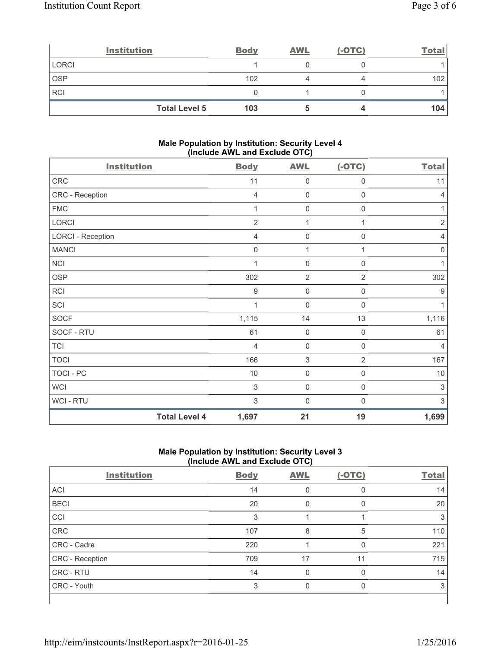|              | <b>Institution</b>   | <b>Body</b> | <b>AWL</b> | $(-OTC)$ | <b>Total</b> |
|--------------|----------------------|-------------|------------|----------|--------------|
| <b>LORCI</b> |                      |             |            |          |              |
| <b>OSP</b>   |                      | 102         |            |          | 102          |
| <b>RCI</b>   |                      |             |            |          |              |
|              | <b>Total Level 5</b> | 103         |            |          | 104          |

### **Male Population by Institution: Security Level 4 (Include AWL and Exclude OTC)**

| <b>Institution</b>       |                      | <b>Body</b>      | <b>AWL</b>     | $(-OTC)$         | <b>Total</b>              |
|--------------------------|----------------------|------------------|----------------|------------------|---------------------------|
| CRC                      |                      | 11               | 0              | $\mathbf 0$      | 11                        |
| CRC - Reception          |                      | $\overline{4}$   | $\mathbf 0$    | $\mathbf 0$      | $\overline{4}$            |
| <b>FMC</b>               |                      |                  | $\mathbf 0$    | 0                | 1                         |
| <b>LORCI</b>             |                      | $\overline{2}$   | 1              |                  | $\overline{2}$            |
| <b>LORCI - Reception</b> |                      | $\overline{4}$   | $\mathbf 0$    | $\boldsymbol{0}$ | $\overline{4}$            |
| <b>MANCI</b>             |                      | $\mathbf 0$      | 1              | 1                | $\mathbf 0$               |
| <b>NCI</b>               |                      | 1                | $\mathbf 0$    | $\mathsf 0$      | 1                         |
| <b>OSP</b>               |                      | 302              | $\overline{2}$ | $\overline{2}$   | 302                       |
| <b>RCI</b>               |                      | $\boldsymbol{9}$ | $\mathbf 0$    | 0                | 9                         |
| SCI                      |                      | 1                | $\mathbf 0$    | 0                | 1                         |
| <b>SOCF</b>              |                      | 1,115            | 14             | 13               | 1,116                     |
| SOCF - RTU               |                      | 61               | $\mathbf 0$    | $\boldsymbol{0}$ | 61                        |
| <b>TCI</b>               |                      | $\overline{4}$   | $\mathbf 0$    | $\mathsf 0$      | $\overline{4}$            |
| <b>TOCI</b>              |                      | 166              | $\mathsf 3$    | $\overline{2}$   | 167                       |
| <b>TOCI - PC</b>         |                      | 10               | $\mathbf 0$    | 0                | $10$                      |
| <b>WCI</b>               |                      | 3                | $\mathbf 0$    | $\mathbf 0$      | $\ensuremath{\mathsf{3}}$ |
| WCI - RTU                |                      | 3                | $\mathbf 0$    | $\mathbf 0$      | 3                         |
|                          | <b>Total Level 4</b> | 1,697            | 21             | 19               | 1,699                     |

# **Male Population by Institution: Security Level 3 (Include AWL and Exclude OTC)**

| <b>Institution</b> | <b>Body</b> | <b>AWL</b> | $(-OTC)$ | <b>Total</b> |
|--------------------|-------------|------------|----------|--------------|
| <b>ACI</b>         | 14          | 0          | 0        | 14           |
| <b>BECI</b>        | 20          | $\Omega$   | 0        | 20           |
| CCI                | 3           |            |          | 3            |
| <b>CRC</b>         | 107         | 8          | 5        | 110          |
| CRC - Cadre        | 220         |            | $\Omega$ | 221          |
| CRC - Reception    | 709         | 17         | 11       | 715          |
| <b>CRC - RTU</b>   | 14          | 0          | 0        | 14           |
| CRC - Youth        | 3           | 0          | $\Omega$ | 3            |
|                    |             |            |          |              |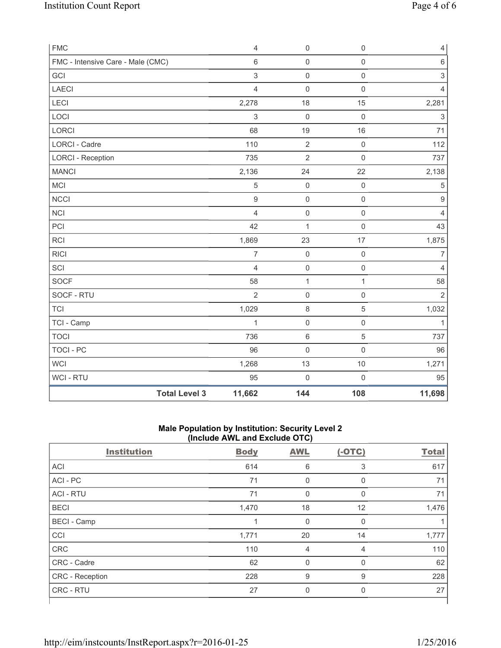| <b>FMC</b>                        |                      | $\overline{4}$ | $\mathsf{O}\xspace$ | $\mathsf{O}\xspace$ | $\overline{4}$            |
|-----------------------------------|----------------------|----------------|---------------------|---------------------|---------------------------|
| FMC - Intensive Care - Male (CMC) |                      | $\,6$          | $\mathsf{O}\xspace$ | $\mathsf{O}\xspace$ | $\,6\,$                   |
| GCI                               |                      | 3              | $\mathsf{O}\xspace$ | $\mathsf{O}\xspace$ | $\ensuremath{\mathsf{3}}$ |
| <b>LAECI</b>                      |                      | 4              | 0                   | $\mathsf 0$         | 4                         |
| LECI                              |                      | 2,278          | 18                  | 15                  | 2,281                     |
| LOCI                              |                      | 3              | $\mathsf{O}\xspace$ | $\mathsf{O}\xspace$ | $\ensuremath{\mathsf{3}}$ |
| LORCI                             |                      | 68             | 19                  | 16                  | 71                        |
| <b>LORCI - Cadre</b>              |                      | 110            | $\overline{2}$      | $\mathbf 0$         | 112                       |
| <b>LORCI - Reception</b>          |                      | 735            | $\overline{2}$      | $\mathbf 0$         | 737                       |
| <b>MANCI</b>                      |                      | 2,136          | 24                  | 22                  | 2,138                     |
| MCI                               |                      | 5              | $\mathbf 0$         | $\mathsf{O}\xspace$ | $\sqrt{5}$                |
| <b>NCCI</b>                       |                      | $\mathsf g$    | $\mathsf{O}\xspace$ | $\mathsf{O}\xspace$ | $\hbox{9}$                |
| <b>NCI</b>                        |                      | $\overline{4}$ | $\mathsf{O}\xspace$ | $\mathsf{O}\xspace$ | $\overline{4}$            |
| PCI                               |                      | 42             | $\mathbf{1}$        | $\mathsf{O}\xspace$ | 43                        |
| <b>RCI</b>                        |                      | 1,869          | 23                  | 17                  | 1,875                     |
| <b>RICI</b>                       |                      | $\overline{7}$ | $\mathbf 0$         | $\mathsf{O}\xspace$ | $\overline{7}$            |
| SCI                               |                      | $\overline{4}$ | $\mathsf{O}\xspace$ | $\mathsf{O}\xspace$ | 4                         |
| SOCF                              |                      | 58             | $\mathbf 1$         | $\mathbf 1$         | 58                        |
| SOCF - RTU                        |                      | $\overline{2}$ | 0                   | $\mathbf 0$         | $\overline{2}$            |
| <b>TCI</b>                        |                      | 1,029          | $\,8\,$             | $\mathbf 5$         | 1,032                     |
| TCI - Camp                        |                      | $\mathbf{1}$   | $\mathsf 0$         | $\mathsf{O}\xspace$ | $\mathbf{1}$              |
| <b>TOCI</b>                       |                      | 736            | 6                   | $\sqrt{5}$          | 737                       |
| <b>TOCI - PC</b>                  |                      | 96             | $\mathbf 0$         | $\mathbf 0$         | 96                        |
| <b>WCI</b>                        |                      | 1,268          | 13                  | 10                  | 1,271                     |
| WCI - RTU                         |                      | 95             | $\mathbf 0$         | $\mathsf{O}\xspace$ | 95                        |
|                                   | <b>Total Level 3</b> | 11,662         | 144                 | 108                 | 11,698                    |

## **Male Population by Institution: Security Level 2 (Include AWL and Exclude OTC)**

| <b>Institution</b> | <b>Body</b> | <b>AWL</b>     | $(-OTC)$       | <b>Total</b> |
|--------------------|-------------|----------------|----------------|--------------|
| <b>ACI</b>         | 614         | 6              | 3              | 617          |
| ACI - PC           | 71          | $\mathbf 0$    | 0              | 71           |
| <b>ACI - RTU</b>   | 71          | $\mathbf 0$    | $\mathbf 0$    | 71           |
| <b>BECI</b>        | 1,470       | 18             | 12             | 1,476        |
| <b>BECI</b> - Camp | 1           | $\mathbf 0$    | $\mathbf 0$    |              |
| CCI                | 1,771       | 20             | 14             | 1,777        |
| <b>CRC</b>         | 110         | $\overline{4}$ | $\overline{4}$ | 110          |
| CRC - Cadre        | 62          | $\mathbf 0$    | 0              | 62           |
| CRC - Reception    | 228         | $9$            | 9              | 228          |
| <b>CRC - RTU</b>   | 27          | 0              | 0              | 27           |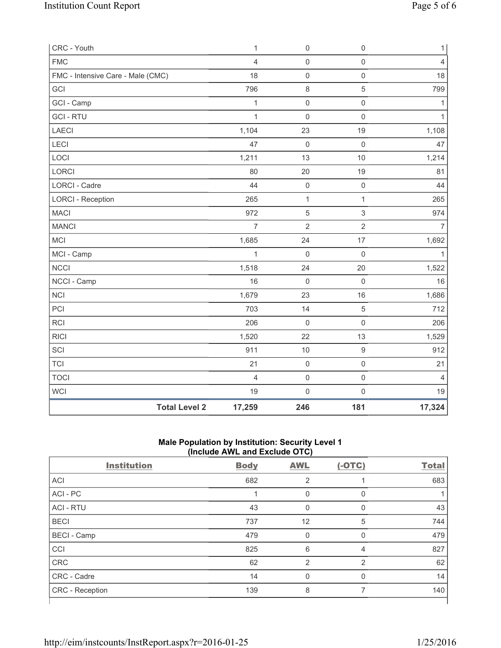| CRC - Youth                       |                      | $\mathbf{1}$   | $\mathsf{O}\xspace$ | $\mathsf{O}\xspace$ | $\mathbf{1}$   |
|-----------------------------------|----------------------|----------------|---------------------|---------------------|----------------|
| <b>FMC</b>                        |                      | $\overline{4}$ | $\mathsf{O}\xspace$ | $\mathsf{O}\xspace$ | $\overline{4}$ |
| FMC - Intensive Care - Male (CMC) |                      | 18             | $\mathsf 0$         | $\mathsf{O}\xspace$ | 18             |
| GCI                               |                      | 796            | $\,8\,$             | 5                   | 799            |
| GCI - Camp                        |                      | $\mathbf{1}$   | $\mathsf{O}\xspace$ | $\mathsf{O}\xspace$ | $\mathbf{1}$   |
| <b>GCI - RTU</b>                  |                      | $\mathbf{1}$   | $\mathbf 0$         | $\mathsf 0$         | $\mathbf{1}$   |
| LAECI                             |                      | 1,104          | 23                  | 19                  | 1,108          |
| LECI                              |                      | 47             | $\mathbf 0$         | $\mathbf 0$         | 47             |
| LOCI                              |                      | 1,211          | 13                  | 10                  | 1,214          |
| LORCI                             |                      | 80             | 20                  | 19                  | 81             |
| LORCI - Cadre                     |                      | 44             | $\mathsf{O}\xspace$ | $\mathsf{O}\xspace$ | 44             |
| <b>LORCI - Reception</b>          |                      | 265            | $\mathbf 1$         | $\mathbf{1}$        | 265            |
| <b>MACI</b>                       |                      | 972            | $\sqrt{5}$          | $\mathfrak{S}$      | 974            |
| <b>MANCI</b>                      |                      | $\overline{7}$ | $\overline{2}$      | $\overline{2}$      | $\overline{7}$ |
| MCI                               |                      | 1,685          | 24                  | 17                  | 1,692          |
| MCI - Camp                        |                      | 1              | $\mathbf 0$         | $\mathsf 0$         | $\mathbf{1}$   |
| <b>NCCI</b>                       |                      | 1,518          | 24                  | 20                  | 1,522          |
| NCCI - Camp                       |                      | 16             | $\mathsf{O}\xspace$ | $\mathbf 0$         | 16             |
| <b>NCI</b>                        |                      | 1,679          | 23                  | 16                  | 1,686          |
| PCI                               |                      | 703            | 14                  | $\,$ 5 $\,$         | 712            |
| <b>RCI</b>                        |                      | 206            | $\mathsf{O}\xspace$ | $\mathsf 0$         | 206            |
| <b>RICI</b>                       |                      | 1,520          | 22                  | 13                  | 1,529          |
| SCI                               |                      | 911            | 10                  | $\boldsymbol{9}$    | 912            |
| <b>TCI</b>                        |                      | 21             | $\mathsf{O}\xspace$ | $\mathsf{O}\xspace$ | 21             |
| <b>TOCI</b>                       |                      | $\overline{4}$ | $\mathsf{O}\xspace$ | $\mathsf 0$         | $\overline{4}$ |
| <b>WCI</b>                        |                      | 19             | $\mathsf{O}\xspace$ | $\mathsf{O}\xspace$ | 19             |
|                                   | <b>Total Level 2</b> | 17,259         | 246                 | 181                 | 17,324         |

## **Male Population by Institution: Security Level 1 (Include AWL and Exclude OTC)**

| <b>Institution</b> | `<br>- - - -<br><b>Body</b> | .<br>$\overline{\phantom{a}}$<br><b>AWL</b> | $(-OTC)$       | <b>Total</b> |
|--------------------|-----------------------------|---------------------------------------------|----------------|--------------|
| <b>ACI</b>         | 682                         | 2                                           |                | 683          |
| ACI - PC           |                             | $\Omega$                                    | 0              |              |
| <b>ACI - RTU</b>   | 43                          | $\Omega$                                    | 0              | 43           |
| <b>BECI</b>        | 737                         | 12                                          | 5              | 744          |
| <b>BECI</b> - Camp | 479                         | $\Omega$                                    | 0              | 479          |
| CCI                | 825                         | 6                                           | 4              | 827          |
| <b>CRC</b>         | 62                          | 2                                           | 2              | 62           |
| CRC - Cadre        | 14                          | $\Omega$                                    | $\Omega$       | 14           |
| CRC - Reception    | 139                         | 8                                           | $\overline{7}$ | 140          |
|                    |                             |                                             |                |              |